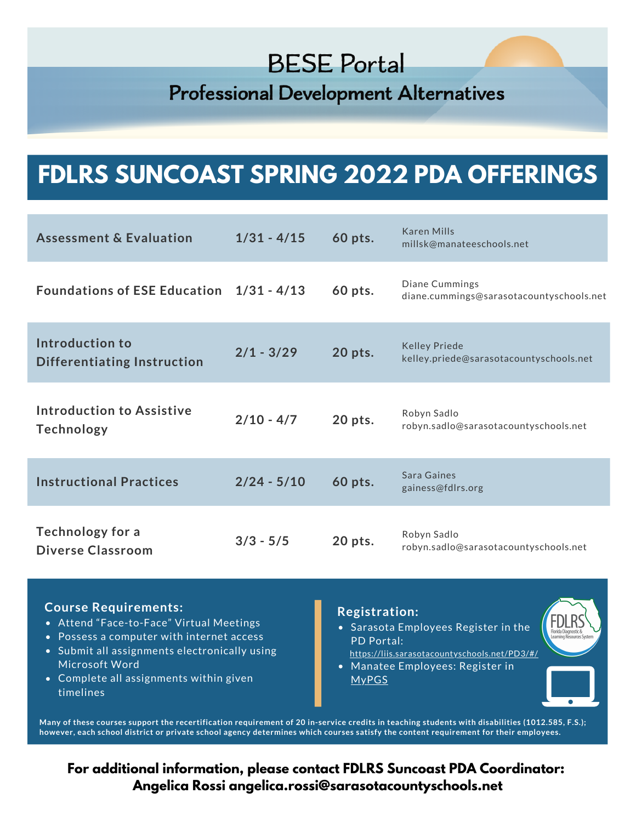**Professional Development Alternatives** 

# **FDLRS SUNCOAST SPRING 2022 PDA OFFERINGS**

| <b>Assessment &amp; Evaluation</b>                    | $1/31 - 4/15$ | 60 pts. | <b>Karen Mills</b><br>millsk@manateeschools.net                 |
|-------------------------------------------------------|---------------|---------|-----------------------------------------------------------------|
| Foundations of ESE Education 1/31 - 4/13              |               | 60 pts. | Diane Cummings<br>diane.cummings@sarasotacountyschools.net      |
| Introduction to<br><b>Differentiating Instruction</b> | $2/1 - 3/29$  | 20 pts. | <b>Kelley Priede</b><br>kelley.priede@sarasotacountyschools.net |
| <b>Introduction to Assistive</b><br><b>Technology</b> | $2/10 - 4/7$  | 20 pts. | Robyn Sadlo<br>robyn.sadlo@sarasotacountyschools.net            |
| <b>Instructional Practices</b>                        | $2/24 - 5/10$ | 60 pts. | Sara Gaines<br>gainess@fdlrs.org                                |
| <b>Technology for a</b><br><b>Diverse Classroom</b>   | $3/3 - 5/5$   | 20 pts. | Robyn Sadlo<br>robyn.sadlo@sarasotacountyschools.net            |

### **Course Requirements:**

- Attend "Face-to-Face" Virtual Meetings
- Possess a computer with internet access
- Submit all assignments electronically using Microsoft Word
- Complete all assignments within given timelines

### **Registration:**

- Sarasota Employees Register in the PD Portal:
- Manatee Employees: Register in [MyPGS](https://www.manateeschools.net/Page/2636) <https://liis.sarasotacountyschools.net/PD3/#/>

Many of these courses support the recertification requirement of 20 in-service credits in teaching students with disabilities (1012.585, F.S.); however, each school district or private school agency determines which courses satisfy the content requirement for their employees.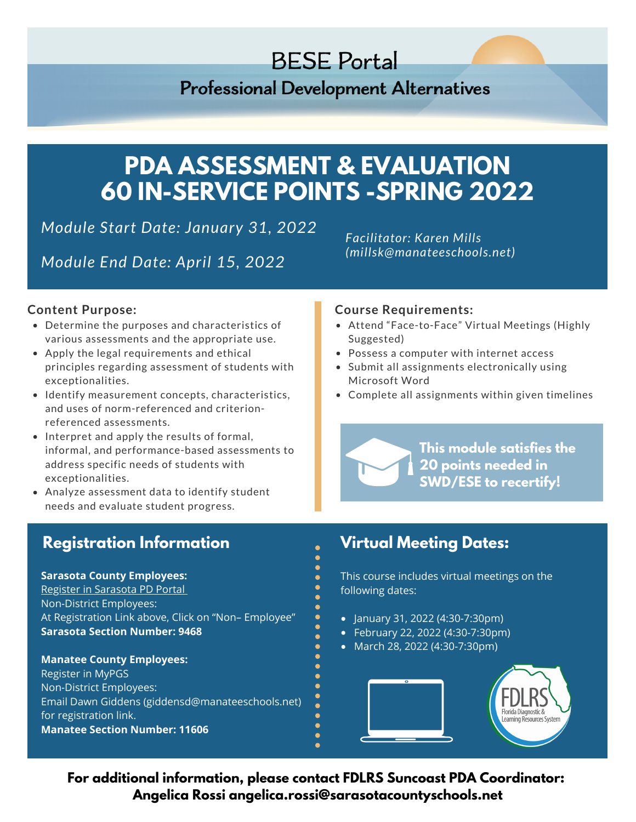## **Professional Development Alternatives**

# **PDA ASSESSMENT & EVALUATION 60 IN-SERVICE POINTS -SPRING 2022**

*Module Start Date: January 31, 2022*

*Module End Date: April 15, 2022*

*Facilitator: Karen Mills (millsk@manateeschools.net)*

### **Content Purpose:**

- Determine the purposes and characteristics of various assessments and the appropriate use.
- Apply the legal requirements and ethical principles regarding assessment of students with exceptionalities.
- Identify measurement concepts, characteristics, and uses of norm-referenced and criterionreferenced assessments.
- Interpret and apply the results of formal, informal, and performance-based assessments to address specific needs of students with exceptionalities.
- Analyze assessment data to identify student needs and evaluate student progress.

## **Registration Information Virtual Meeting Dates:**

**Sarasota County Employees:** Register in [Sarasota](https://liis.sarasotacountyschools.net/PD3/#/) PD Portal Non-District Employees: At Registration Link above, Click on "Non– Employee" **Sarasota Section Number: 9468**

**Manatee County Employees:** Register in MyPGS Non-District Employees: Email Dawn Giddens (giddensd@manateeschools.net) for registration link. **Manatee Section Number: 11606**

### **Course Requirements:**

- Attend "Face-to-Face" Virtual Meetings (Highly Suggested)
- Possess a computer with internet access
- Submit all assignments electronically using Microsoft Word
- Complete all assignments within given timelines

**This module satisfies the 20 points needed in SWD/ESE to recertify!**

This course includes virtual meetings on the following dates:

- $\bullet$  January 31, 2022 (4:30-7:30pm)
- February 22, 2022 (4:30-7:30pm)
- March 28, 2022 (4:30-7:30pm)

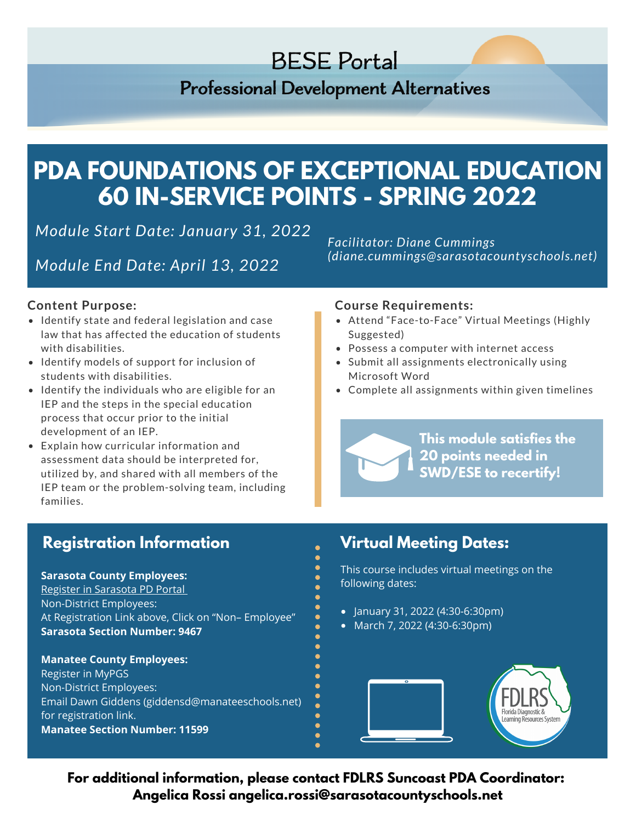**Professional Development Alternatives** 

# **PDA FOUNDATIONS OF EXCEPTIONAL EDUCATION 60 IN-SERVICE POINTS - SPRING 2022**

*Module Start Date: January 31, 2022*

*Module End Date: April 13, 2022*

*Facilitator: Diane Cummings (diane.cummings@sarasotacountyschools.net)*

### **Content Purpose:**

- Identify state and federal legislation and case law that has affected the education of students with disabilities.
- Identify models of support for inclusion of students with disabilities.
- $\bullet$  Identify the individuals who are eligible for an IEP and the steps in the special education process that occur prior to the initial development of an IEP.
- Explain how curricular information and assessment data should be interpreted for, utilized by, and shared with all members of the IEP team or the problem-solving team, including families.

### **Course Requirements:**

- Attend "Face-to-Face" Virtual Meetings (Highly Suggested)
- Possess a computer with internet access
- Submit all assignments electronically using Microsoft Word
- Complete all assignments within given timelines

**This module satisfies the 20 points needed in SWD/ESE to recertify!**

## **Registration Information Virtual Meeting Dates:**

**Sarasota County Employees:** Register in [Sarasota](https://liis.sarasotacountyschools.net/PD3/#/) PD Portal Non-District Employees: At Registration Link above, Click on "Non– Employee" **Sarasota Section Number: 9467**

**Manatee County Employees:** Register in MyPGS Non-District Employees: Email Dawn Giddens (giddensd@manateeschools.net) for registration link. **Manatee Section Number: 11599**

This course includes virtual meetings on the following dates:

- $\bullet$  January 31, 2022 (4:30-6:30pm)
- $\bullet$  March 7, 2022 (4:30-6:30pm)

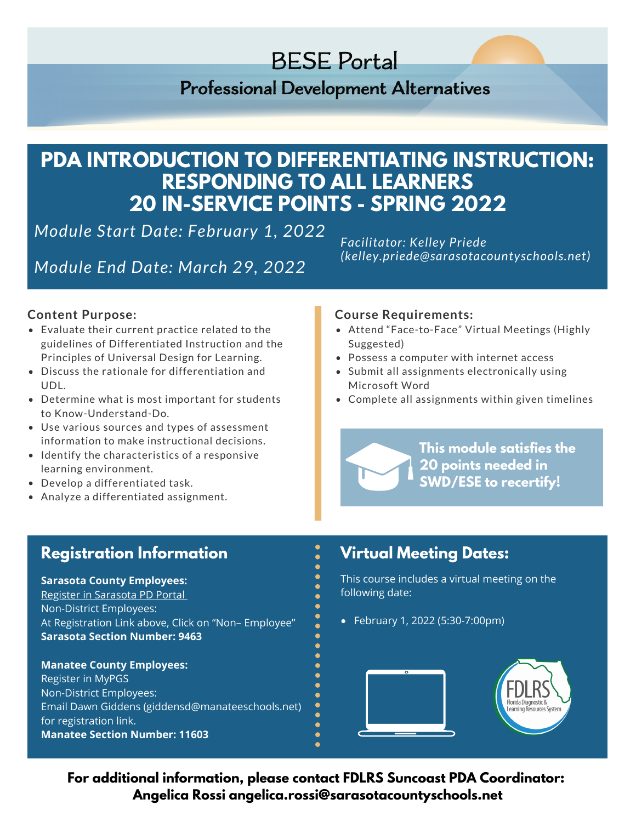**Professional Development Alternatives** 

## **PDA INTRODUCTION TO DIFFERENTIATING INSTRUCTION: RESPONDING TO ALL LEARNERS 20 IN-SERVICE POINTS - SPRING 2022**

*Module Start Date: February 1, 2022*

*Module End Date: March 29, 2022*

*Facilitator: Kelley Priede (kelley.priede@sarasotacountyschools.net)*

### **Content Purpose:**

- Evaluate their current practice related to the guidelines of Differentiated Instruction and the Principles of Universal Design for Learning.
- Discuss the rationale for differentiation and UDL.
- Determine what is most important for students to Know-Understand-Do.
- Use various sources and types of assessment information to make instructional decisions.
- Identify the characteristics of a responsive learning environment.
- Develop a differentiated task.
- Analyze a differentiated assignment.

### **Course Requirements:**

- Attend "Face-to-Face" Virtual Meetings (Highly Suggested)
- Possess a computer with internet access
- Submit all assignments electronically using Microsoft Word
- Complete all assignments within given timelines

**This module satisfies the 20 points needed in SWD/ESE to recertify!**

## **Registration Information Virtual Meeting Dates:**

## **Sarasota County Employees:**

Register in [Sarasota](https://liis.sarasotacountyschools.net/PD3/#/) PD Portal Non-District Employees: At Registration Link above, Click on "Non– Employee" **Sarasota Section Number: 9463**

### **Manatee County Employees:** Register in MyPGS Non-District Employees: Email Dawn Giddens (giddensd@manateeschools.net) for registration link. **Manatee Section Number: 11603**

This course includes a virtual meeting on the following date:

February 1, 2022 (5:30-7:00pm)

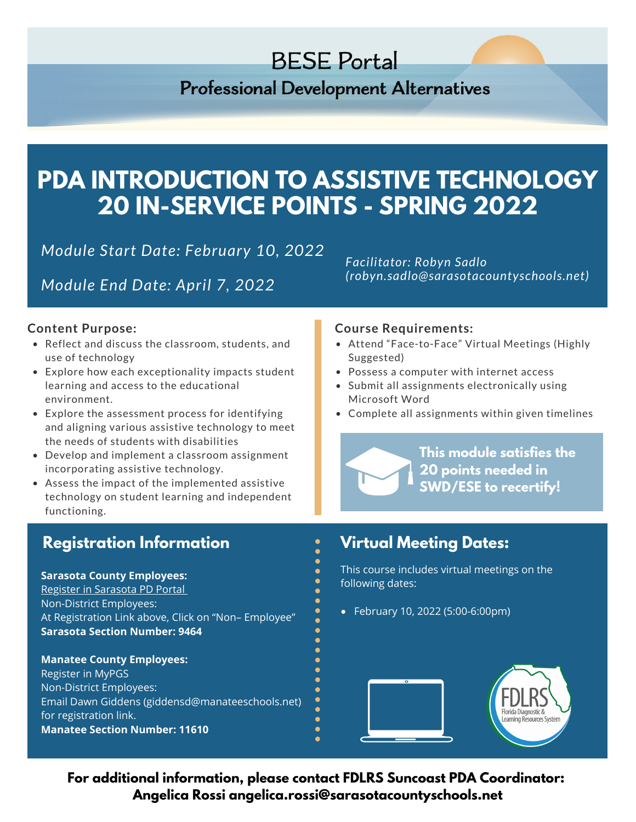**Professional Development Alternatives** 

# **PDA INTRODUCTION TO ASSISTIVE TECHNOLOGY 20 IN-SERVICE POINTS - SPRING 2022**

*Module Start Date: February 10, 2022*

*Module End Date: April 7, 2022*

### **Content Purpose:**

- Reflect and discuss the classroom, students, and use of technology
- Explore how each exceptionality impacts student learning and access to the educational environment.
- Explore the assessment process for identifying and aligning various assistive technology to meet the needs of students with disabilities
- Develop and implement a classroom assignment incorporating assistive technology.
- Assess the impact of the implemented assistive technology on student learning and independent functioning.

## **Registration Information Virtual Meeting Dates:**

**Sarasota County Employees:** Register in [Sarasota](https://liis.sarasotacountyschools.net/PD3/#/) PD Portal Non-District Employees: At Registration Link above, Click on "Non– Employee" **Sarasota Section Number: 9464**

**Manatee County Employees:** Register in MyPGS Non-District Employees: Email Dawn Giddens (giddensd@manateeschools.net) for registration link. **Manatee Section Number: 11610**

*Facilitator: Robyn Sadlo (robyn.sadlo@sarasotacountyschools.net)*

### **Course Requirements:**

- Attend "Face-to-Face" Virtual Meetings (Highly Suggested)
- Possess a computer with internet access
- Submit all assignments electronically using Microsoft Word
- Complete all assignments within given timelines

**This module satisfies the 20 points needed in SWD/ESE to recertify!**

This course includes virtual meetings on the following dates:

February 10, 2022 (5:00-6:00pm)

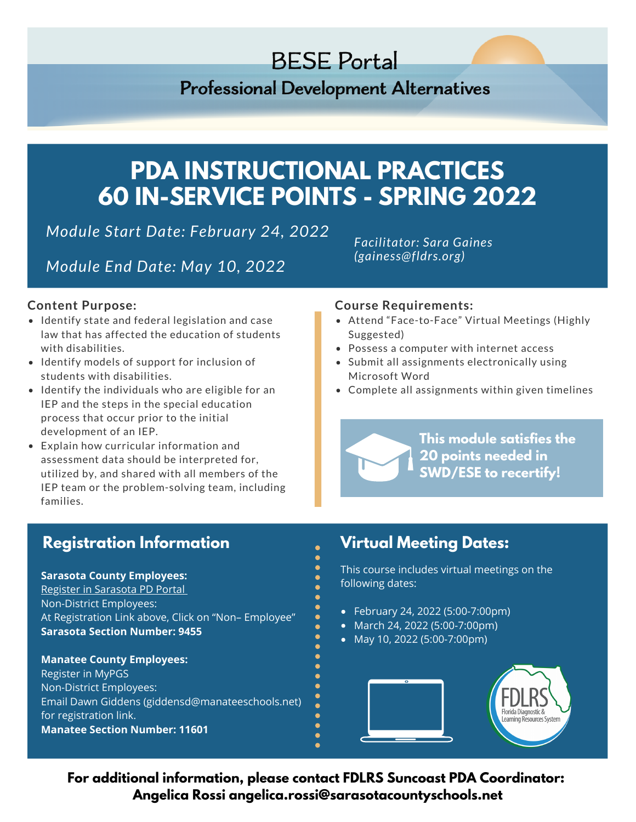## **Professional Development Alternatives**

# **PDA INSTRUCTIONAL PRACTICES 60 IN-SERVICE POINTS - SPRING 2022**

*Module Start Date: February 24, 2022*

*Module End Date: May 10, 2022*

*Facilitator: Sara Gaines (gainess@fldrs.org)*

### **Content Purpose:**

- Identify state and federal legislation and case law that has affected the education of students with disabilities.
- Identify models of support for inclusion of students with disabilities.
- $\bullet$  Identify the individuals who are eligible for an IEP and the steps in the special education process that occur prior to the initial development of an IEP.
- Explain how curricular information and assessment data should be interpreted for, utilized by, and shared with all members of the IEP team or the problem-solving team, including families.

### **Course Requirements:**

- Attend "Face-to-Face" Virtual Meetings (Highly Suggested)
- Possess a computer with internet access
- Submit all assignments electronically using Microsoft Word
- Complete all assignments within given timelines

**This module satisfies the 20 points needed in SWD/ESE to recertify!**

## **Registration Information Virtual Meeting Dates:**

**Sarasota County Employees:** Register in [Sarasota](https://liis.sarasotacountyschools.net/PD3/#/) PD Portal Non-District Employees: At Registration Link above, Click on "Non– Employee" **Sarasota Section Number: 9455**

**Manatee County Employees:** Register in MyPGS Non-District Employees: Email Dawn Giddens (giddensd@manateeschools.net) for registration link. **Manatee Section Number: 11601**

This course includes virtual meetings on the following dates:

- February 24, 2022 (5:00-7:00pm)
- March 24, 2022 (5:00-7:00pm)
- May 10, 2022 (5:00-7:00pm)